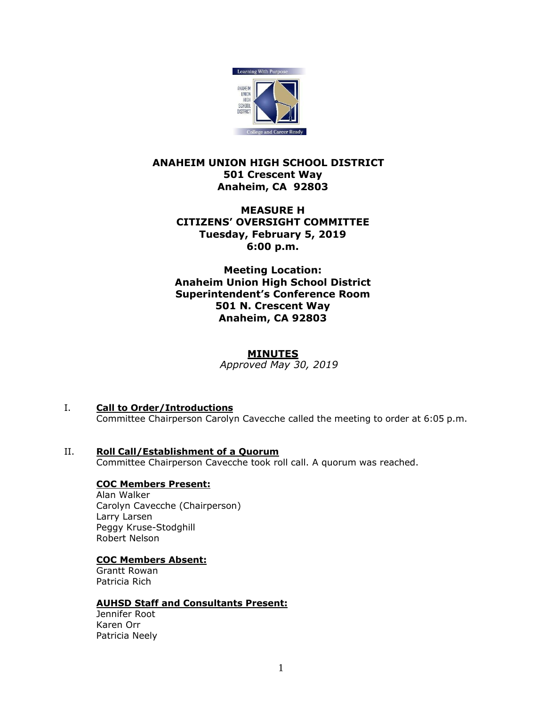

# **ANAHEIM UNION HIGH SCHOOL DISTRICT 501 Crescent Way Anaheim, CA 92803**

# **MEASURE H CITIZENS' OVERSIGHT COMMITTEE Tuesday, February 5, 2019 6:00 p.m.**

**Meeting Location: Anaheim Union High School District Superintendent's Conference Room 501 N. Crescent Way Anaheim, CA 92803**

# **MINUTES**

*DRAFT Approved May 30, 2019*

- I. **Call to Order/Introductions** Committee Chairperson Carolyn Cavecche called the meeting to order at 6:05 p.m.
- II. **Roll Call/Establishment of a Quorum** Committee Chairperson Cavecche took roll call. A quorum was reached.

### **COC Members Present:**

Alan Walker Carolyn Cavecche (Chairperson) Larry Larsen Peggy Kruse-Stodghill Robert Nelson

### **COC Members Absent:**

Grantt Rowan Patricia Rich

### **AUHSD Staff and Consultants Present:**

Jennifer Root Karen Orr Patricia Neely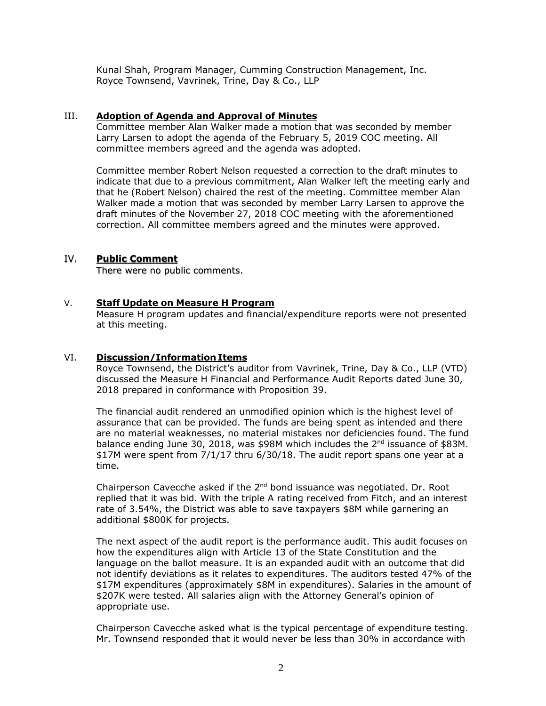Kunal Shah, Program Manager, Cumming Construction Management, Inc. Royce Townsend, Vavrinek, Trine, Day & Co., LLP

# III. **Adoption of Agenda and Approval of Minutes**

Committee member Alan Walker made a motion that was seconded by member Larry Larsen to adopt the agenda of the February 5, 2019 COC meeting. All committee members agreed and the agenda was adopted.

Committee member Robert Nelson requested a correction to the draft minutes to indicate that due to a previous commitment, Alan Walker left the meeting early and that he (Robert Nelson) chaired the rest of the meeting. Committee member Alan Walker made a motion that was seconded by member Larry Larsen to approve the draft minutes of the November 27, 2018 COC meeting with the aforementioned correction. All committee members agreed and the minutes were approved.

# IV. **Public Comment**

There were no public comments.

### V. **Staff Update on Measure H Program**

Measure H program updates and financial/expenditure reports were not presented at this meeting.

# VI. **Discussion/Information Items**

Royce Townsend, the District's auditor from Vavrinek, Trine, Day & Co., LLP (VTD) discussed the Measure H Financial and Performance Audit Reports dated June 30, 2018 prepared in conformance with Proposition 39.

The financial audit rendered an unmodified opinion which is the highest level of assurance that can be provided. The funds are being spent as intended and there are no material weaknesses, no material mistakes nor deficiencies found. The fund balance ending June 30, 2018, was \$98M which includes the  $2<sup>nd</sup>$  issuance of \$83M. \$17M were spent from 7/1/17 thru 6/30/18. The audit report spans one year at a time.

Chairperson Cavecche asked if the 2<sup>nd</sup> bond issuance was negotiated. Dr. Root replied that it was bid. With the triple A rating received from Fitch, and an interest rate of 3.54%, the District was able to save taxpayers \$8M while garnering an additional \$800K for projects.

The next aspect of the audit report is the performance audit. This audit focuses on how the expenditures align with Article 13 of the State Constitution and the language on the ballot measure. It is an expanded audit with an outcome that did not identify deviations as it relates to expenditures. The auditors tested 47% of the \$17M expenditures (approximately \$8M in expenditures). Salaries in the amount of \$207K were tested. All salaries align with the Attorney General's opinion of appropriate use.

Chairperson Cavecche asked what is the typical percentage of expenditure testing. Mr. Townsend responded that it would never be less than 30% in accordance with